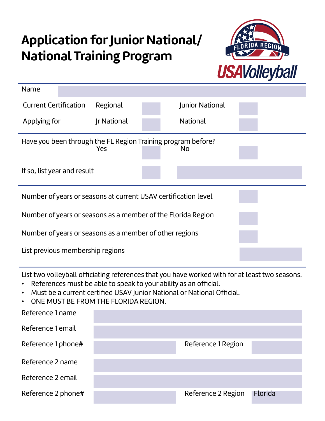## **Application for Junior National/ National Training Program**



| Name                                                                                                                                                                                                                                                                                                                  |                    |  |                 |  |  |
|-----------------------------------------------------------------------------------------------------------------------------------------------------------------------------------------------------------------------------------------------------------------------------------------------------------------------|--------------------|--|-----------------|--|--|
| <b>Current Certification</b>                                                                                                                                                                                                                                                                                          | Regional           |  | Junior National |  |  |
| Applying for                                                                                                                                                                                                                                                                                                          | <b>Ir National</b> |  | National        |  |  |
| Have you been through the FL Region Training program before?<br>Yes<br><b>No</b>                                                                                                                                                                                                                                      |                    |  |                 |  |  |
| If so, list year and result                                                                                                                                                                                                                                                                                           |                    |  |                 |  |  |
| Number of years or seasons at current USAV certification level                                                                                                                                                                                                                                                        |                    |  |                 |  |  |
| Number of years or seasons as a member of the Florida Region                                                                                                                                                                                                                                                          |                    |  |                 |  |  |
| Number of years or seasons as a member of other regions                                                                                                                                                                                                                                                               |                    |  |                 |  |  |
| List previous membership regions                                                                                                                                                                                                                                                                                      |                    |  |                 |  |  |
| List two volleyball officiating references that you have worked with for at least two seasons.<br>References must be able to speak to your ability as an official.<br>Must be a current certified USAV Junior National or National Official.<br>$\bullet$<br>ONE MUST BE FROM THE FLORIDA REGION.<br>Reference 1 name |                    |  |                 |  |  |
|                                                                                                                                                                                                                                                                                                                       |                    |  |                 |  |  |

| Reference 1 email  |                    |         |
|--------------------|--------------------|---------|
| Reference 1 phone# | Reference 1 Region |         |
| Reference 2 name   |                    |         |
| Reference 2 email  |                    |         |
| Reference 2 phone# | Reference 2 Region | Florida |